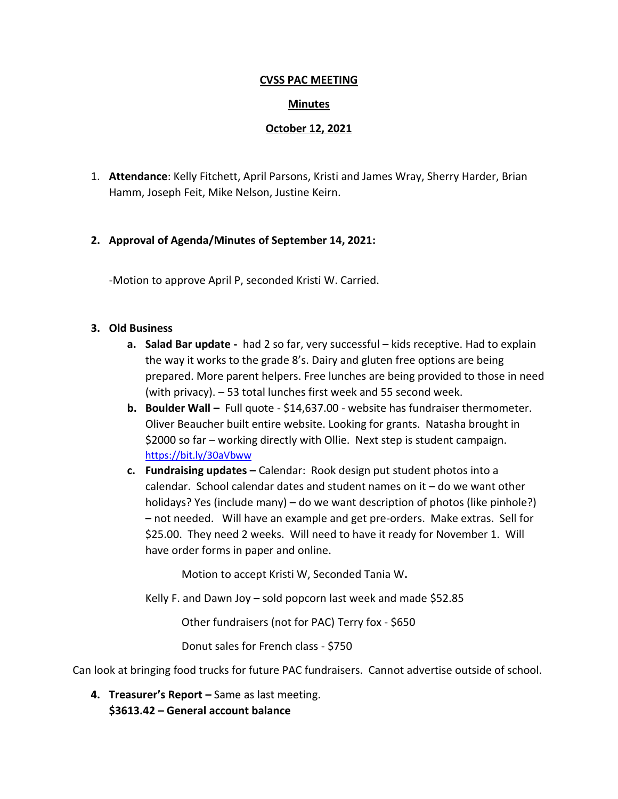#### **CVSS PAC MEETING**

### **Minutes**

### **October 12, 2021**

1. **Attendance**: Kelly Fitchett, April Parsons, Kristi and James Wray, Sherry Harder, Brian Hamm, Joseph Feit, Mike Nelson, Justine Keirn.

# **2. Approval of Agenda/Minutes of September 14, 2021:**

-Motion to approve April P, seconded Kristi W. Carried.

#### **3. Old Business**

- **a. Salad Bar update** had 2 so far, very successful kids receptive. Had to explain the way it works to the grade 8's. Dairy and gluten free options are being prepared. More parent helpers. Free lunches are being provided to those in need (with privacy). – 53 total lunches first week and 55 second week.
- **b. Boulder Wall –** Full quote \$14,637.00 website has fundraiser thermometer. Oliver Beaucher built entire website. Looking for grants. Natasha brought in \$2000 so far – working directly with Ollie. Next step is student campaign. <https://bit.ly/30aVbww>
- **c. Fundraising updates –** Calendar: Rook design put student photos into a calendar. School calendar dates and student names on it – do we want other holidays? Yes (include many) – do we want description of photos (like pinhole?) – not needed. Will have an example and get pre-orders. Make extras. Sell for \$25.00. They need 2 weeks. Will need to have it ready for November 1. Will have order forms in paper and online.

Motion to accept Kristi W, Seconded Tania W**.**

Kelly F. and Dawn Joy – sold popcorn last week and made \$52.85

Other fundraisers (not for PAC) Terry fox - \$650

Donut sales for French class - \$750

Can look at bringing food trucks for future PAC fundraisers. Cannot advertise outside of school.

**4. Treasurer's Report –** Same as last meeting. **\$3613.42 – General account balance**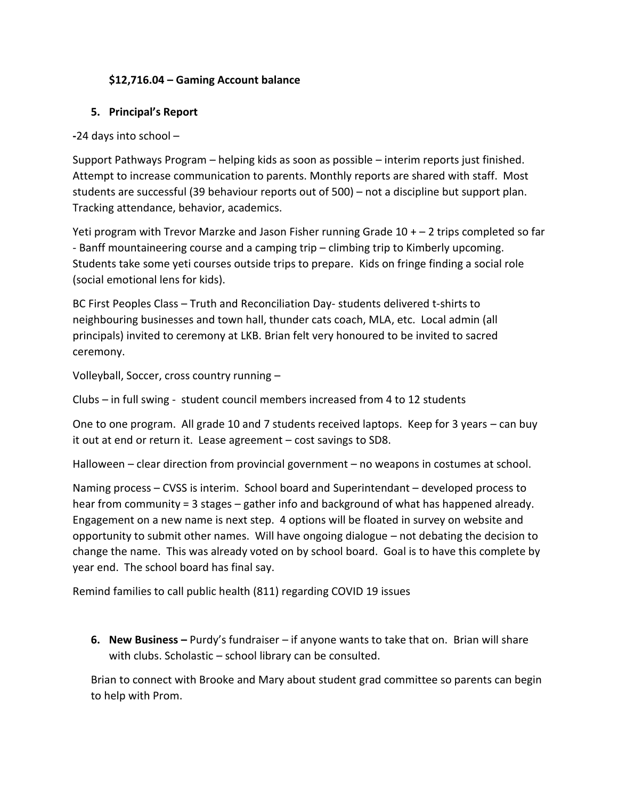# **\$12,716.04 – Gaming Account balance**

# **5. Principal's Report**

**-**24 days into school –

Support Pathways Program – helping kids as soon as possible – interim reports just finished. Attempt to increase communication to parents. Monthly reports are shared with staff. Most students are successful (39 behaviour reports out of 500) – not a discipline but support plan. Tracking attendance, behavior, academics.

Yeti program with Trevor Marzke and Jason Fisher running Grade  $10 + -2$  trips completed so far - Banff mountaineering course and a camping trip – climbing trip to Kimberly upcoming. Students take some yeti courses outside trips to prepare. Kids on fringe finding a social role (social emotional lens for kids).

BC First Peoples Class – Truth and Reconciliation Day- students delivered t-shirts to neighbouring businesses and town hall, thunder cats coach, MLA, etc. Local admin (all principals) invited to ceremony at LKB. Brian felt very honoured to be invited to sacred ceremony.

Volleyball, Soccer, cross country running –

Clubs – in full swing - student council members increased from 4 to 12 students

One to one program. All grade 10 and 7 students received laptops. Keep for 3 years – can buy it out at end or return it. Lease agreement – cost savings to SD8.

Halloween – clear direction from provincial government – no weapons in costumes at school.

Naming process – CVSS is interim. School board and Superintendant – developed process to hear from community = 3 stages – gather info and background of what has happened already. Engagement on a new name is next step. 4 options will be floated in survey on website and opportunity to submit other names. Will have ongoing dialogue – not debating the decision to change the name. This was already voted on by school board. Goal is to have this complete by year end. The school board has final say.

Remind families to call public health (811) regarding COVID 19 issues

**6. New Business –** Purdy's fundraiser – if anyone wants to take that on. Brian will share with clubs. Scholastic – school library can be consulted.

Brian to connect with Brooke and Mary about student grad committee so parents can begin to help with Prom.